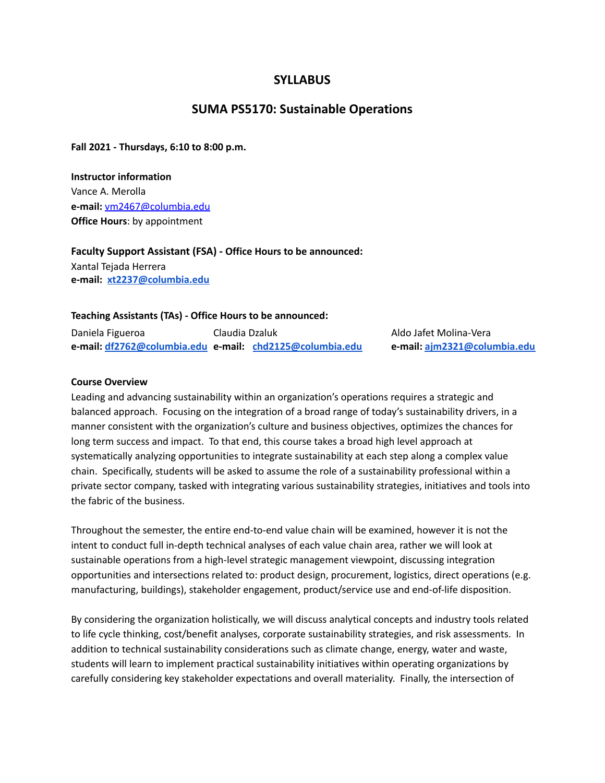## **SYLLABUS**

## **SUMA PS5170: Sustainable Operations**

**Fall 2021 - Thursdays, 6:10 to 8:00 p.m.**

**Instructor information** Vance A. Merolla **e-mail:** [vm2467@columbia.edu](mailto:vm2467@columbia.edu) **Office Hours**: by appointment

**Faculty Support Assistant (FSA) - Office Hours to be announced:** Xantal Tejada Herrera **e-mail: [xt2237@columbia.edu](mailto:xt2237@columbia.edu)**

#### **Teaching Assistants (TAs) - Office Hours to be announced:**

Daniela Figueroa Claudia Dzaluk Aldo Jafet Molina-Vera **e-mail: [df2762@columbia.edu](mailto:df2762@columbia.edu) e-mail: [chd2125@columbia.edu](mailto:chd2125@columbia.edu) e-mail: [ajm2321@columbia.edu](mailto:ajm2321@columbia.edu)**

#### **Course Overview**

Leading and advancing sustainability within an organization's operations requires a strategic and balanced approach. Focusing on the integration of a broad range of today's sustainability drivers, in a manner consistent with the organization's culture and business objectives, optimizes the chances for long term success and impact. To that end, this course takes a broad high level approach at systematically analyzing opportunities to integrate sustainability at each step along a complex value chain. Specifically, students will be asked to assume the role of a sustainability professional within a private sector company, tasked with integrating various sustainability strategies, initiatives and tools into the fabric of the business.

Throughout the semester, the entire end-to-end value chain will be examined, however it is not the intent to conduct full in-depth technical analyses of each value chain area, rather we will look at sustainable operations from a high-level strategic management viewpoint, discussing integration opportunities and intersections related to: product design, procurement, logistics, direct operations (e.g. manufacturing, buildings), stakeholder engagement, product/service use and end-of-life disposition.

By considering the organization holistically, we will discuss analytical concepts and industry tools related to life cycle thinking, cost/benefit analyses, corporate sustainability strategies, and risk assessments. In addition to technical sustainability considerations such as climate change, energy, water and waste, students will learn to implement practical sustainability initiatives within operating organizations by carefully considering key stakeholder expectations and overall materiality. Finally, the intersection of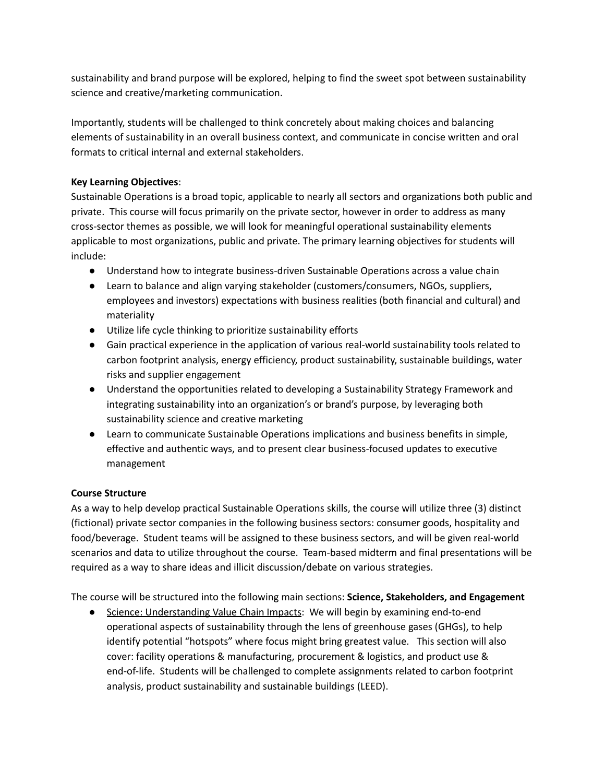sustainability and brand purpose will be explored, helping to find the sweet spot between sustainability science and creative/marketing communication.

Importantly, students will be challenged to think concretely about making choices and balancing elements of sustainability in an overall business context, and communicate in concise written and oral formats to critical internal and external stakeholders.

## **Key Learning Objectives**:

Sustainable Operations is a broad topic, applicable to nearly all sectors and organizations both public and private. This course will focus primarily on the private sector, however in order to address as many cross-sector themes as possible, we will look for meaningful operational sustainability elements applicable to most organizations, public and private. The primary learning objectives for students will include:

- Understand how to integrate business-driven Sustainable Operations across a value chain
- Learn to balance and align varying stakeholder (customers/consumers, NGOs, suppliers, employees and investors) expectations with business realities (both financial and cultural) and materiality
- Utilize life cycle thinking to prioritize sustainability efforts
- Gain practical experience in the application of various real-world sustainability tools related to carbon footprint analysis, energy efficiency, product sustainability, sustainable buildings, water risks and supplier engagement
- Understand the opportunities related to developing a Sustainability Strategy Framework and integrating sustainability into an organization's or brand's purpose, by leveraging both sustainability science and creative marketing
- Learn to communicate Sustainable Operations implications and business benefits in simple, effective and authentic ways, and to present clear business-focused updates to executive management

# **Course Structure**

As a way to help develop practical Sustainable Operations skills, the course will utilize three (3) distinct (fictional) private sector companies in the following business sectors: consumer goods, hospitality and food/beverage. Student teams will be assigned to these business sectors, and will be given real-world scenarios and data to utilize throughout the course. Team-based midterm and final presentations will be required as a way to share ideas and illicit discussion/debate on various strategies.

The course will be structured into the following main sections: **Science, Stakeholders, and Engagement**

● Science: Understanding Value Chain Impacts: We will begin by examining end-to-end operational aspects of sustainability through the lens of greenhouse gases (GHGs), to help identify potential "hotspots" where focus might bring greatest value. This section will also cover: facility operations & manufacturing, procurement & logistics, and product use & end-of-life. Students will be challenged to complete assignments related to carbon footprint analysis, product sustainability and sustainable buildings (LEED).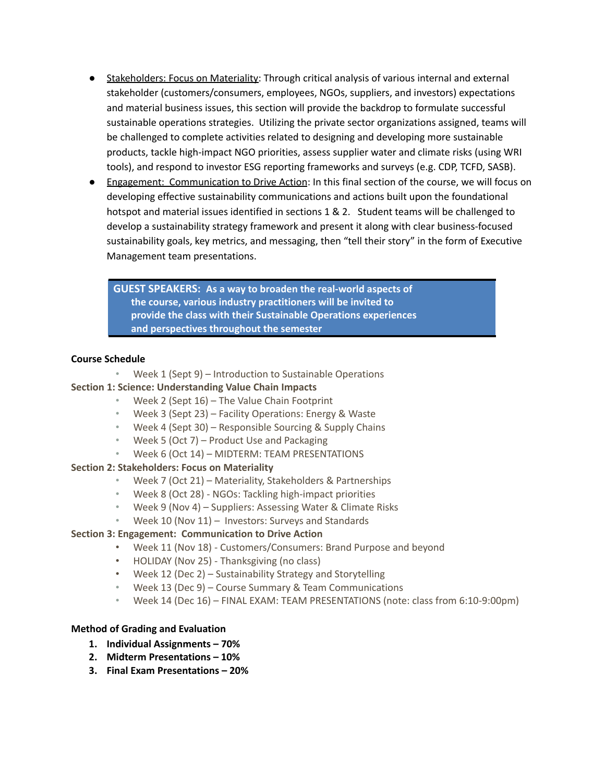- Stakeholders: Focus on Materiality: Through critical analysis of various internal and external stakeholder (customers/consumers, employees, NGOs, suppliers, and investors) expectations and material business issues, this section will provide the backdrop to formulate successful sustainable operations strategies. Utilizing the private sector organizations assigned, teams will be challenged to complete activities related to designing and developing more sustainable products, tackle high-impact NGO priorities, assess supplier water and climate risks (using WRI tools), and respond to investor ESG reporting frameworks and surveys (e.g. CDP, TCFD, SASB).
- Engagement: Communication to Drive Action: In this final section of the course, we will focus on developing effective sustainability communications and actions built upon the foundational hotspot and material issues identified in sections 1 & 2. Student teams will be challenged to develop a sustainability strategy framework and present it along with clear business-focused sustainability goals, key metrics, and messaging, then "tell their story" in the form of Executive Management team presentations.

**GUEST SPEAKERS: As a way to broaden the real-world aspects of the course, various industry practitioners will be invited to provide the class with their Sustainable Operations experiences and perspectives throughout the semester**

#### **Course Schedule**

• Week 1 (Sept 9) – Introduction to Sustainable Operations

#### **Section 1: Science: Understanding Value Chain Impacts**

- Week 2 (Sept 16) The Value Chain Footprint
- Week 3 (Sept 23) Facility Operations: Energy & Waste
- Week 4 (Sept 30) Responsible Sourcing & Supply Chains
- Week 5 (Oct 7) Product Use and Packaging
- Week 6 (Oct 14) MIDTERM: TEAM PRESENTATIONS

#### **Section 2: Stakeholders: Focus on Materiality**

- Week 7 (Oct 21) Materiality, Stakeholders & Partnerships
- Week 8 (Oct 28) NGOs: Tackling high-impact priorities
- Week 9 (Nov 4) Suppliers: Assessing Water & Climate Risks
- Week 10 (Nov 11) Investors: Surveys and Standards

## **Section 3: Engagement: Communication to Drive Action**

- Week 11 (Nov 18) Customers/Consumers: Brand Purpose and beyond
- HOLIDAY (Nov 25) Thanksgiving (no class)
- Week 12 (Dec 2) Sustainability Strategy and Storytelling
- Week 13 (Dec 9) Course Summary & Team Communications
- Week 14 (Dec 16) FINAL EXAM: TEAM PRESENTATIONS (note: class from 6:10-9:00pm)

#### **Method of Grading and Evaluation**

- **1. Individual Assignments – 70%**
- **2. Midterm Presentations – 10%**
- **3. Final Exam Presentations – 20%**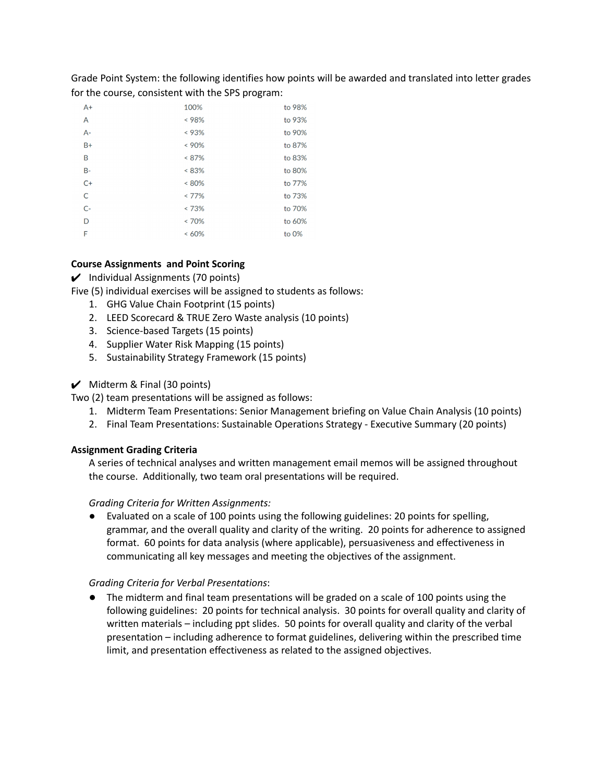Grade Point System: the following identifies how points will be awarded and translated into letter grades for the course, consistent with the SPS program:

| $A+$  | 100%     | to 98% |
|-------|----------|--------|
| A     | < 98%    | to 93% |
| $A -$ | < 93%    | to 90% |
| $B+$  | $< 90\%$ | to 87% |
| B     | $< 87\%$ | to 83% |
| $B -$ | $< 83\%$ | to 80% |
| $C+$  | $< 80\%$ | to 77% |
| C     | $< 77\%$ | to 73% |
| $C-$  | < 73%    | to 70% |
| D     | $< 70\%$ | to 60% |
| F     | $<60\%$  | to 0%  |

## **Course Assignments and Point Scoring**

 $\boldsymbol{\checkmark}$  Individual Assignments (70 points)

Five (5) individual exercises will be assigned to students as follows:

- 1. GHG Value Chain Footprint (15 points)
- 2. LEED Scorecard & TRUE Zero Waste analysis (10 points)
- 3. Science-based Targets (15 points)
- 4. Supplier Water Risk Mapping (15 points)
- 5. Sustainability Strategy Framework (15 points)

#### $\boldsymbol{\checkmark}$  Midterm & Final (30 points)

Two (2) team presentations will be assigned as follows:

- 1. Midterm Team Presentations: Senior Management briefing on Value Chain Analysis (10 points)
- 2. Final Team Presentations: Sustainable Operations Strategy Executive Summary (20 points)

#### **Assignment Grading Criteria**

A series of technical analyses and written management email memos will be assigned throughout the course. Additionally, two team oral presentations will be required.

#### *Grading Criteria for Written Assignments:*

● Evaluated on a scale of 100 points using the following guidelines: 20 points for spelling, grammar, and the overall quality and clarity of the writing. 20 points for adherence to assigned format. 60 points for data analysis (where applicable), persuasiveness and effectiveness in communicating all key messages and meeting the objectives of the assignment.

#### *Grading Criteria for Verbal Presentations*:

**●** The midterm and final team presentations will be graded on a scale of 100 points using the following guidelines: 20 points for technical analysis. 30 points for overall quality and clarity of written materials – including ppt slides. 50 points for overall quality and clarity of the verbal presentation – including adherence to format guidelines, delivering within the prescribed time limit, and presentation effectiveness as related to the assigned objectives.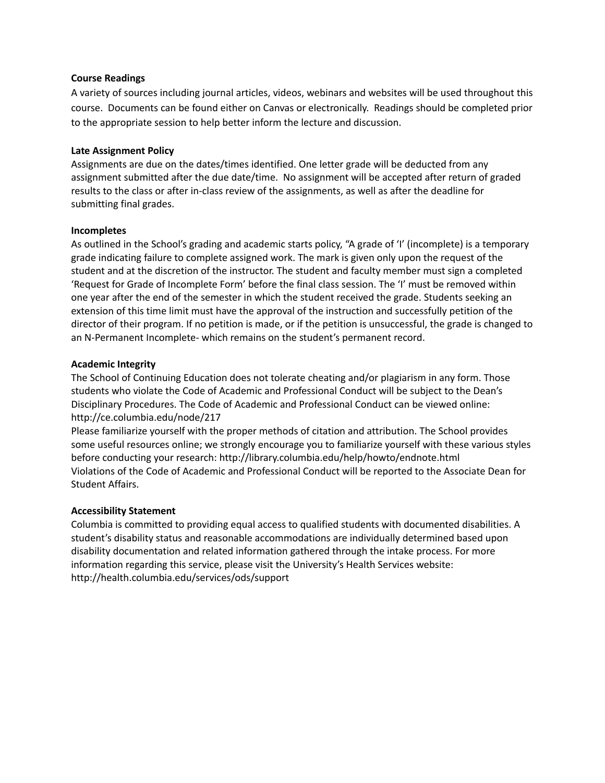#### **Course Readings**

A variety of sources including journal articles, videos, webinars and websites will be used throughout this course. Documents can be found either on Canvas or electronically. Readings should be completed prior to the appropriate session to help better inform the lecture and discussion.

#### **Late Assignment Policy**

Assignments are due on the dates/times identified. One letter grade will be deducted from any assignment submitted after the due date/time. No assignment will be accepted after return of graded results to the class or after in-class review of the assignments, as well as after the deadline for submitting final grades.

#### **Incompletes**

As outlined in the School's grading and academic starts policy, "A grade of 'I' (incomplete) is a temporary grade indicating failure to complete assigned work. The mark is given only upon the request of the student and at the discretion of the instructor. The student and faculty member must sign a completed 'Request for Grade of Incomplete Form' before the final class session. The 'I' must be removed within one year after the end of the semester in which the student received the grade. Students seeking an extension of this time limit must have the approval of the instruction and successfully petition of the director of their program. If no petition is made, or if the petition is unsuccessful, the grade is changed to an N-Permanent Incomplete- which remains on the student's permanent record.

#### **Academic Integrity**

The School of Continuing Education does not tolerate cheating and/or plagiarism in any form. Those students who violate the Code of Academic and Professional Conduct will be subject to the Dean's Disciplinary Procedures. The Code of Academic and Professional Conduct can be viewed online: http://ce.columbia.edu/node/217

Please familiarize yourself with the proper methods of citation and attribution. The School provides some useful resources online; we strongly encourage you to familiarize yourself with these various styles before conducting your research: http://library.columbia.edu/help/howto/endnote.html Violations of the Code of Academic and Professional Conduct will be reported to the Associate Dean for Student Affairs.

## **Accessibility Statement**

Columbia is committed to providing equal access to qualified students with documented disabilities. A student's disability status and reasonable accommodations are individually determined based upon disability documentation and related information gathered through the intake process. For more information regarding this service, please visit the University's Health Services website: http://health.columbia.edu/services/ods/support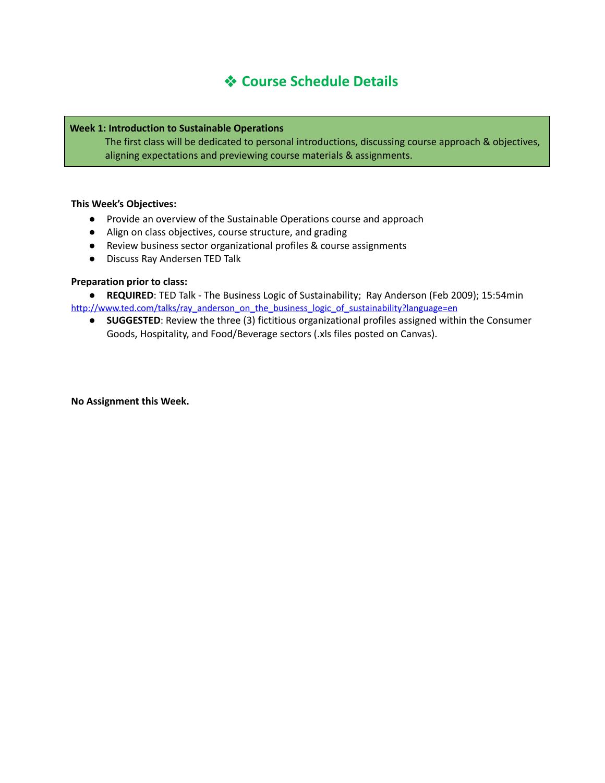# ❖ **Course Schedule Details**

#### **Week 1: Introduction to Sustainable Operations**

The first class will be dedicated to personal introductions, discussing course approach & objectives, aligning expectations and previewing course materials & assignments.

#### **This Week's Objectives:**

- Provide an overview of the Sustainable Operations course and approach
- Align on class objectives, course structure, and grading
- Review business sector organizational profiles & course assignments
- Discuss Ray Andersen TED Talk

#### **Preparation prior to class:**

● **REQUIRED**: TED Talk - The Business Logic of Sustainability; Ray Anderson (Feb 2009); 15:54min [http://www.ted.com/talks/ray\\_anderson\\_on\\_the\\_business\\_logic\\_of\\_sustainability?language=en](http://www.ted.com/talks/ray_anderson_on_the_business_logic_of_sustainability?language=en)

● **SUGGESTED**: Review the three (3) fictitious organizational profiles assigned within the Consumer Goods, Hospitality, and Food/Beverage sectors (.xls files posted on Canvas).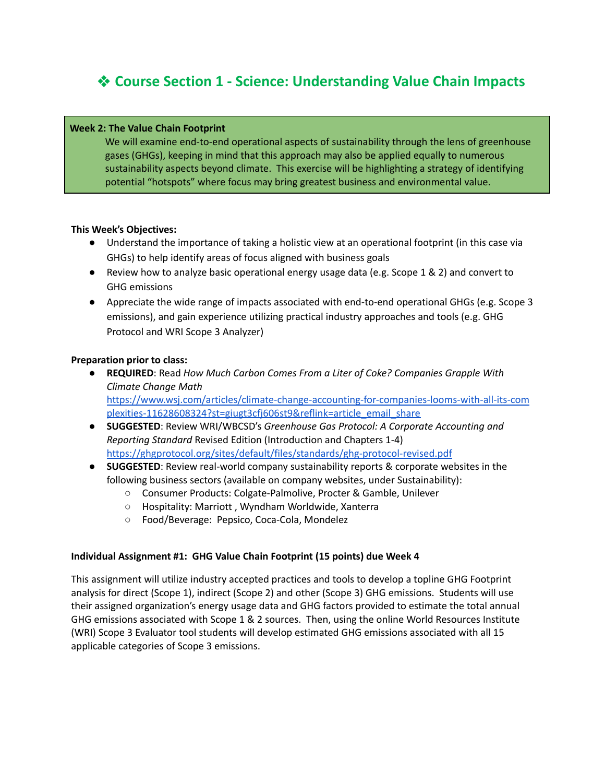# ❖ **Course Section 1 - Science: Understanding Value Chain Impacts**

#### **Week 2: The Value Chain Footprint**

We will examine end-to-end operational aspects of sustainability through the lens of greenhouse gases (GHGs), keeping in mind that this approach may also be applied equally to numerous sustainability aspects beyond climate. This exercise will be highlighting a strategy of identifying potential "hotspots" where focus may bring greatest business and environmental value.

#### **This Week's Objectives:**

- Understand the importance of taking a holistic view at an operational footprint (in this case via GHGs) to help identify areas of focus aligned with business goals
- Review how to analyze basic operational energy usage data (e.g. Scope 1 & 2) and convert to GHG emissions
- Appreciate the wide range of impacts associated with end-to-end operational GHGs (e.g. Scope 3 emissions), and gain experience utilizing practical industry approaches and tools (e.g. GHG Protocol and WRI Scope 3 Analyzer)

#### **Preparation prior to class:**

- **REQUIRED**: Read *How Much Carbon Comes From a Liter of Coke? Companies Grapple With Climate Change Math* [https://www.wsj.com/articles/climate-change-accounting-for-companies-looms-with-all-its-com](https://www.wsj.com/articles/climate-change-accounting-for-companies-looms-with-all-its-complexities-11628608324?st=giugt3cfj606st9&reflink=article_email_share) [plexities-11628608324?st=giugt3cfj606st9&reflink=article\\_email\\_share](https://www.wsj.com/articles/climate-change-accounting-for-companies-looms-with-all-its-complexities-11628608324?st=giugt3cfj606st9&reflink=article_email_share)
- **SUGGESTED**: Review WRI/WBCSD's *Greenhouse Gas Protocol: A Corporate Accounting and Reporting Standard* Revised Edition (Introduction and Chapters 1-4) <https://ghgprotocol.org/sites/default/files/standards/ghg-protocol-revised.pdf>
- **SUGGESTED**: Review real-world company sustainability reports & corporate websites in the following business sectors (available on company websites, under Sustainability):
	- Consumer Products: Colgate-Palmolive, Procter & Gamble, Unilever
	- Hospitality: Marriott , Wyndham Worldwide, Xanterra
	- Food/Beverage: Pepsico, Coca-Cola, Mondelez

## **Individual Assignment #1: GHG Value Chain Footprint (15 points) due Week 4**

This assignment will utilize industry accepted practices and tools to develop a topline GHG Footprint analysis for direct (Scope 1), indirect (Scope 2) and other (Scope 3) GHG emissions. Students will use their assigned organization's energy usage data and GHG factors provided to estimate the total annual GHG emissions associated with Scope 1 & 2 sources. Then, using the online World Resources Institute (WRI) Scope 3 Evaluator tool students will develop estimated GHG emissions associated with all 15 applicable categories of Scope 3 emissions.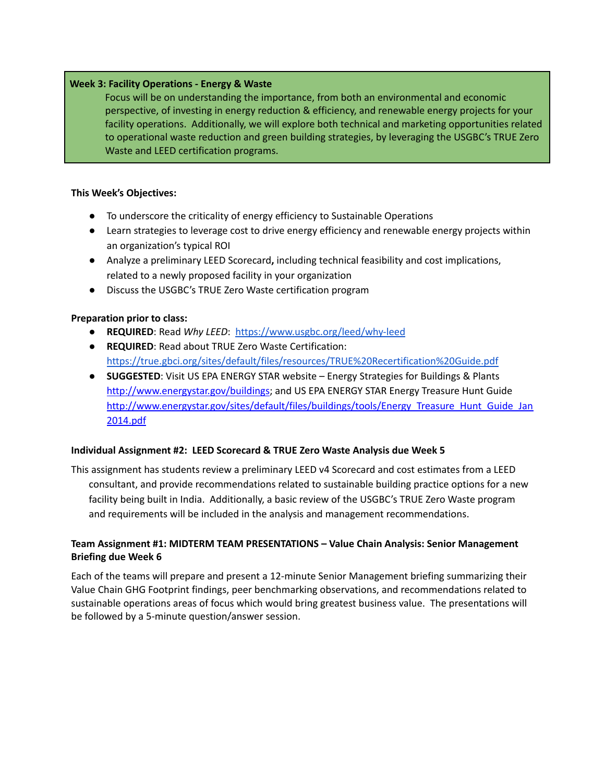## **Week 3: Facility Operations - Energy & Waste**

Focus will be on understanding the importance, from both an environmental and economic perspective, of investing in energy reduction & efficiency, and renewable energy projects for your facility operations. Additionally, we will explore both technical and marketing opportunities related to operational waste reduction and green building strategies, by leveraging the USGBC's TRUE Zero Waste and LEED certification programs.

#### **This Week's Objectives:**

- To underscore the criticality of energy efficiency to Sustainable Operations
- Learn strategies to leverage cost to drive energy efficiency and renewable energy projects within an organization's typical ROI
- Analyze a preliminary LEED Scorecard**,** including technical feasibility and cost implications, related to a newly proposed facility in your organization
- Discuss the USGBC's TRUE Zero Waste certification program

## **Preparation prior to class:**

- **REQUIRED**: Read *Why LEED*: <https://www.usgbc.org/leed/why-leed>
- **REQUIRED**: Read about TRUE Zero Waste Certification: <https://true.gbci.org/sites/default/files/resources/TRUE%20Recertification%20Guide.pdf>
- **SUGGESTED**: Visit US EPA ENERGY STAR website Energy Strategies for Buildings & Plants <http://www.energystar.gov/buildings>; and US EPA ENERGY STAR Energy Treasure Hunt Guide [http://www.energystar.gov/sites/default/files/buildings/tools/Energy\\_Treasure\\_Hunt\\_Guide\\_Jan](http://www.energystar.gov/sites/default/files/buildings/tools/Energy_Treasure_Hunt_Guide_Jan2014.pdf) [2014.pdf](http://www.energystar.gov/sites/default/files/buildings/tools/Energy_Treasure_Hunt_Guide_Jan2014.pdf)

## **Individual Assignment #2: LEED Scorecard & TRUE Zero Waste Analysis due Week 5**

This assignment has students review a preliminary LEED v4 Scorecard and cost estimates from a LEED consultant, and provide recommendations related to sustainable building practice options for a new facility being built in India. Additionally, a basic review of the USGBC's TRUE Zero Waste program and requirements will be included in the analysis and management recommendations.

## **Team Assignment #1: MIDTERM TEAM PRESENTATIONS – Value Chain Analysis: Senior Management Briefing due Week 6**

Each of the teams will prepare and present a 12-minute Senior Management briefing summarizing their Value Chain GHG Footprint findings, peer benchmarking observations, and recommendations related to sustainable operations areas of focus which would bring greatest business value. The presentations will be followed by a 5-minute question/answer session.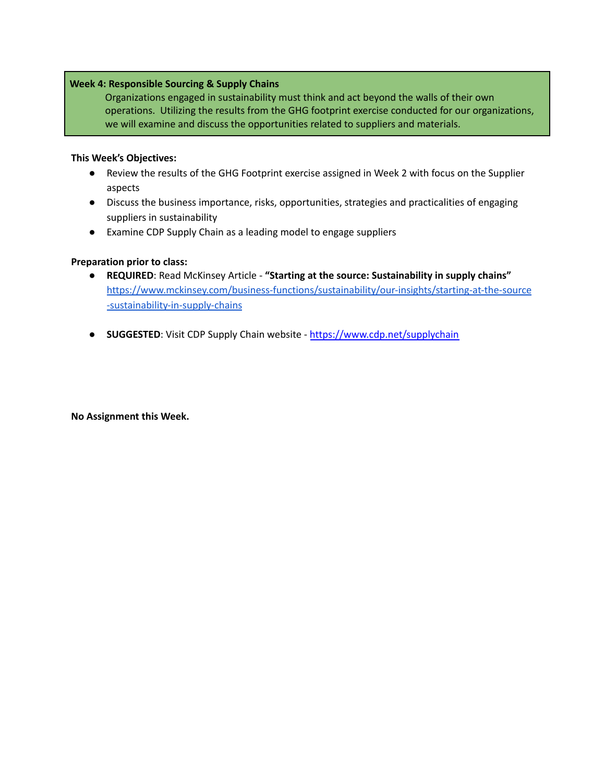## **Week 4: Responsible Sourcing & Supply Chains**

Organizations engaged in sustainability must think and act beyond the walls of their own operations. Utilizing the results from the GHG footprint exercise conducted for our organizations, we will examine and discuss the opportunities related to suppliers and materials.

#### **This Week's Objectives:**

- Review the results of the GHG Footprint exercise assigned in Week 2 with focus on the Supplier aspects
- Discuss the business importance, risks, opportunities, strategies and practicalities of engaging suppliers in sustainability
- Examine CDP Supply Chain as a leading model to engage suppliers

## **Preparation prior to class:**

- **REQUIRED**: Read McKinsey Article **"Starting at the source: Sustainability in supply chains"** [https://www.mckinsey.com/business-functions/sustainability/our-insights/starting-at-the-source](https://www.mckinsey.com/business-functions/sustainability/our-insights/starting-at-the-source-sustainability-in-supply-chains) [-sustainability-in-supply-chains](https://www.mckinsey.com/business-functions/sustainability/our-insights/starting-at-the-source-sustainability-in-supply-chains)
- **SUGGESTED:** Visit CDP Supply Chain website <https://www.cdp.net/supplychain>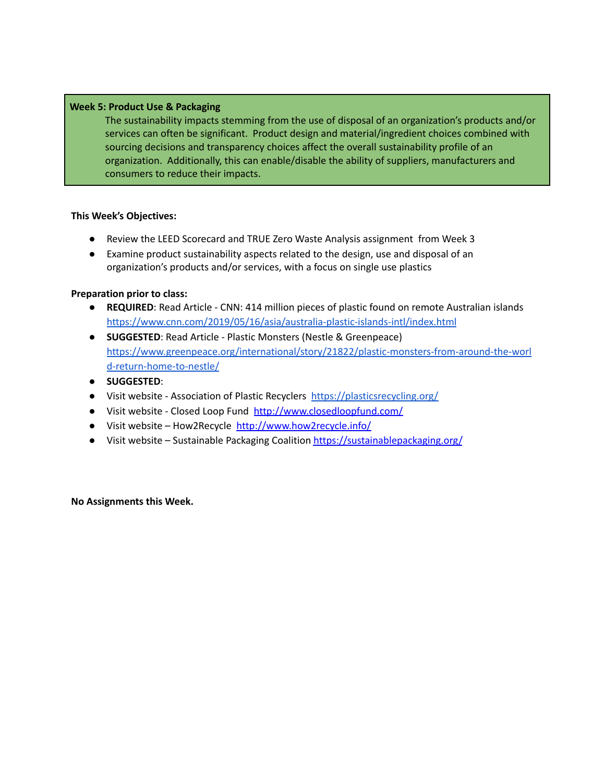## **Week 5: Product Use & Packaging**

The sustainability impacts stemming from the use of disposal of an organization's products and/or services can often be significant. Product design and material/ingredient choices combined with sourcing decisions and transparency choices affect the overall sustainability profile of an organization. Additionally, this can enable/disable the ability of suppliers, manufacturers and consumers to reduce their impacts.

## **This Week's Objectives:**

- Review the LEED Scorecard and TRUE Zero Waste Analysis assignment from Week 3
- Examine product sustainability aspects related to the design, use and disposal of an organization's products and/or services, with a focus on single use plastics

## **Preparation prior to class:**

- **REQUIRED**: Read Article CNN: 414 million pieces of plastic found on remote Australian islands <https://www.cnn.com/2019/05/16/asia/australia-plastic-islands-intl/index.html>
- **SUGGESTED**: Read Article Plastic Monsters (Nestle & Greenpeace) [https://www.greenpeace.org/international/story/21822/plastic-monsters-from-around-the-worl](https://www.greenpeace.org/international/story/21822/plastic-monsters-from-around-the-world-return-home-to-nestle/) [d-return-home-to-nestle/](https://www.greenpeace.org/international/story/21822/plastic-monsters-from-around-the-world-return-home-to-nestle/)
- **SUGGESTED**:
- Visit website Association of Plastic Recyclers <https://plasticsrecycling.org/>
- Visit website Closed Loop Fund <http://www.closedloopfund.com/>
- Visit website How2Recycle <http://www.how2recycle.info/>
- Visit website Sustainable Packaging Coalition <https://sustainablepackaging.org/>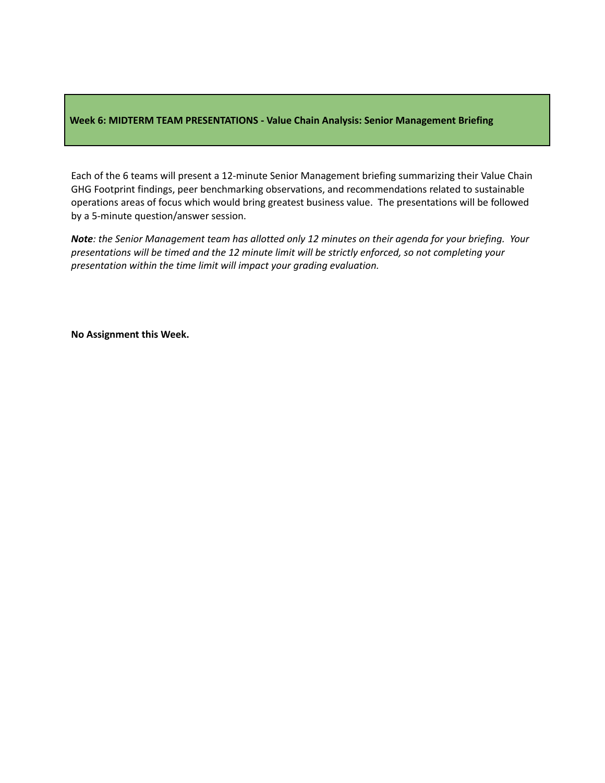## **Week 6: MIDTERM TEAM PRESENTATIONS - Value Chain Analysis: Senior Management Briefing**

Each of the 6 teams will present a 12-minute Senior Management briefing summarizing their Value Chain GHG Footprint findings, peer benchmarking observations, and recommendations related to sustainable operations areas of focus which would bring greatest business value. The presentations will be followed by a 5-minute question/answer session.

Note: the Senior Management team has allotted only 12 minutes on their agenda for your briefing. Your *presentations will be timed and the 12 minute limit will be strictly enforced, so not completing your presentation within the time limit will impact your grading evaluation.*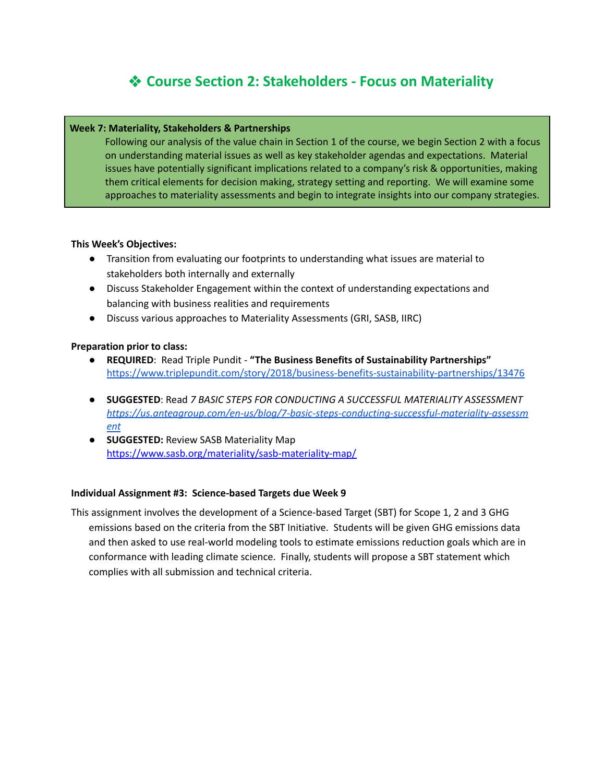# ❖ **Course Section 2: Stakeholders - Focus on Materiality**

#### **Week 7: Materiality, Stakeholders & Partnerships**

Following our analysis of the value chain in Section 1 of the course, we begin Section 2 with a focus on understanding material issues as well as key stakeholder agendas and expectations. Material issues have potentially significant implications related to a company's risk & opportunities, making them critical elements for decision making, strategy setting and reporting. We will examine some approaches to materiality assessments and begin to integrate insights into our company strategies.

#### **This Week's Objectives:**

- Transition from evaluating our footprints to understanding what issues are material to stakeholders both internally and externally
- Discuss Stakeholder Engagement within the context of understanding expectations and balancing with business realities and requirements
- Discuss various approaches to Materiality Assessments (GRI, SASB, IIRC)

#### **Preparation prior to class:**

- **● REQUIRED**: Read Triple Pundit **"The Business Benefits of Sustainability Partnerships"** <https://www.triplepundit.com/story/2018/business-benefits-sustainability-partnerships/13476>
- **● SUGGESTED**: Read *7 BASIC STEPS FOR CONDUCTING A SUCCESSFUL MATERIALITY ASSESSMENT [https://us.anteagroup.com/en-us/blog/7-basic-steps-conducting-successful-materiality-assessm](https://us.anteagroup.com/en-us/blog/7-basic-steps-conducting-successful-materiality-assessment) [ent](https://us.anteagroup.com/en-us/blog/7-basic-steps-conducting-successful-materiality-assessment)*
- **● SUGGESTED:** Review SASB Materiality Map <https://www.sasb.org/materiality/sasb-materiality-map/>

#### **Individual Assignment #3: Science-based Targets due Week 9**

This assignment involves the development of a Science-based Target (SBT) for Scope 1, 2 and 3 GHG emissions based on the criteria from the SBT Initiative. Students will be given GHG emissions data and then asked to use real-world modeling tools to estimate emissions reduction goals which are in conformance with leading climate science. Finally, students will propose a SBT statement which complies with all submission and technical criteria.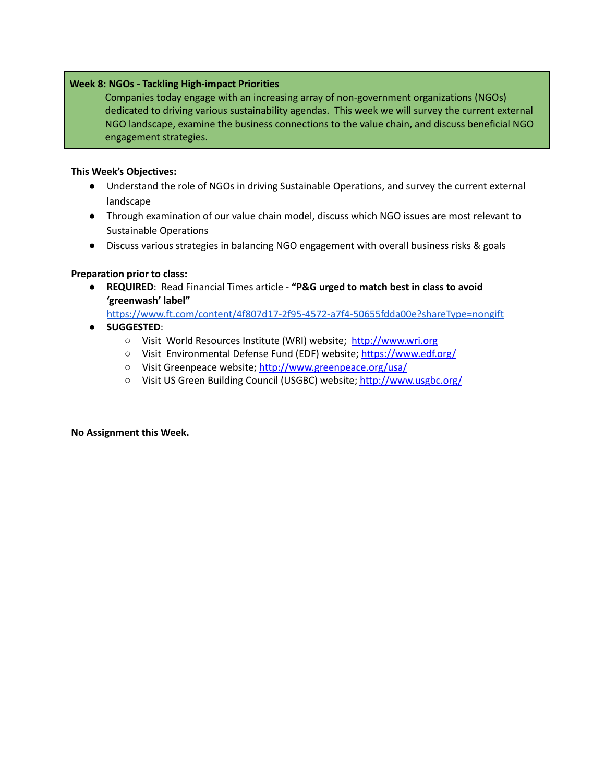## **Week 8: NGOs - Tackling High-impact Priorities**

Companies today engage with an increasing array of non-government organizations (NGOs) dedicated to driving various sustainability agendas. This week we will survey the current external NGO landscape, examine the business connections to the value chain, and discuss beneficial NGO engagement strategies.

## **This Week's Objectives:**

- Understand the role of NGOs in driving Sustainable Operations, and survey the current external landscape
- Through examination of our value chain model, discuss which NGO issues are most relevant to Sustainable Operations
- Discuss various strategies in balancing NGO engagement with overall business risks & goals

## **Preparation prior to class:**

● **REQUIRED**: Read Financial Times article - **"P&G urged to match best in class to avoid 'greenwash' label"**

<https://www.ft.com/content/4f807d17-2f95-4572-a7f4-50655fdda00e?shareType=nongift>

- **SUGGESTED**:
	- Visit World Resources Institute (WRI) website; <http://www.wri.org>
	- Visit Environmental Defense Fund (EDF) website; <https://www.edf.org/>
	- Visit Greenpeace website; <http://www.greenpeace.org/usa/>
	- Visit US Green Building Council (USGBC) website; <http://www.usgbc.org/>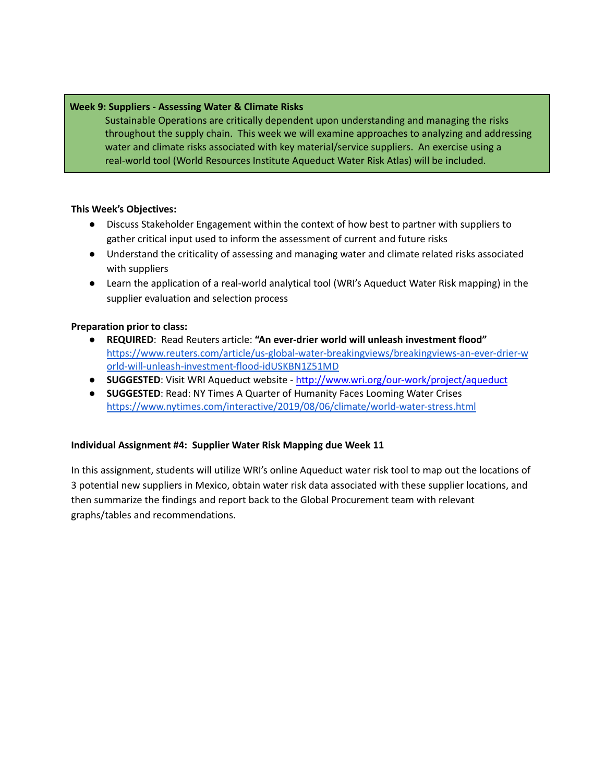## **Week 9: Suppliers - Assessing Water & Climate Risks**

Sustainable Operations are critically dependent upon understanding and managing the risks throughout the supply chain. This week we will examine approaches to analyzing and addressing water and climate risks associated with key material/service suppliers. An exercise using a real-world tool (World Resources Institute Aqueduct Water Risk Atlas) will be included.

#### **This Week's Objectives:**

- Discuss Stakeholder Engagement within the context of how best to partner with suppliers to gather critical input used to inform the assessment of current and future risks
- Understand the criticality of assessing and managing water and climate related risks associated with suppliers
- Learn the application of a real-world analytical tool (WRI's Aqueduct Water Risk mapping) in the supplier evaluation and selection process

#### **Preparation prior to class:**

- **REQUIRED**: Read Reuters article: **"An ever-drier world will unleash investment flood"** [https://www.reuters.com/article/us-global-water-breakingviews/breakingviews-an-ever-drier-w](https://www.reuters.com/article/us-global-water-breakingviews/breakingviews-an-ever-drier-world-will-unleash-investment-flood-idUSKBN1Z51MD) [orld-will-unleash-investment-flood-idUSKBN1Z51MD](https://www.reuters.com/article/us-global-water-breakingviews/breakingviews-an-ever-drier-world-will-unleash-investment-flood-idUSKBN1Z51MD)
- **SUGGESTED**: Visit WRI Aqueduct website <http://www.wri.org/our-work/project/aqueduct>
- **SUGGESTED**: Read: NY Times A Quarter of Humanity Faces Looming Water Crises <https://www.nytimes.com/interactive/2019/08/06/climate/world-water-stress.html>

## **Individual Assignment #4: Supplier Water Risk Mapping due Week 11**

In this assignment, students will utilize WRI's online Aqueduct water risk tool to map out the locations of 3 potential new suppliers in Mexico, obtain water risk data associated with these supplier locations, and then summarize the findings and report back to the Global Procurement team with relevant graphs/tables and recommendations.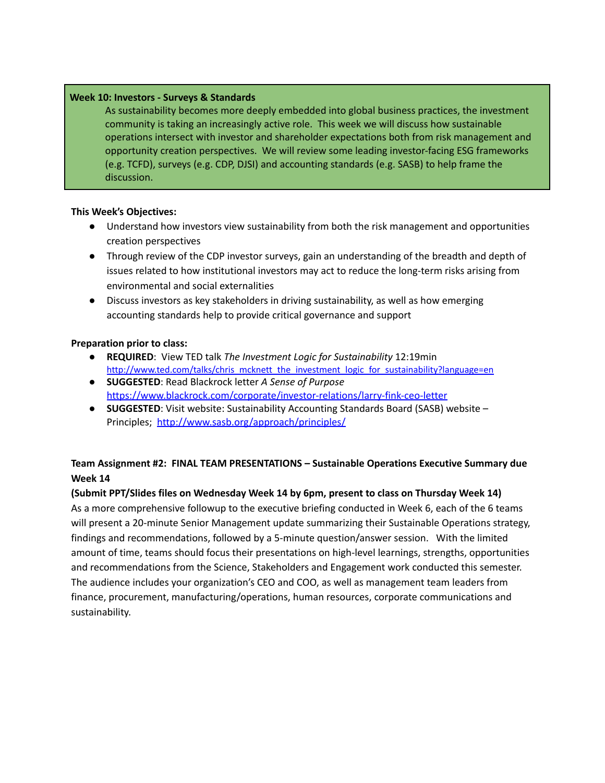## **Week 10: Investors - Surveys & Standards**

As sustainability becomes more deeply embedded into global business practices, the investment community is taking an increasingly active role. This week we will discuss how sustainable operations intersect with investor and shareholder expectations both from risk management and opportunity creation perspectives. We will review some leading investor-facing ESG frameworks (e.g. TCFD), surveys (e.g. CDP, DJSI) and accounting standards (e.g. SASB) to help frame the discussion.

## **This Week's Objectives:**

- Understand how investors view sustainability from both the risk management and opportunities creation perspectives
- Through review of the CDP investor surveys, gain an understanding of the breadth and depth of issues related to how institutional investors may act to reduce the long-term risks arising from environmental and social externalities
- Discuss investors as key stakeholders in driving sustainability, as well as how emerging accounting standards help to provide critical governance and support

## **Preparation prior to class:**

- **REQUIRED**: View TED talk *The Investment Logic for Sustainability* 12:19min [http://www.ted.com/talks/chris\\_mcknett\\_the\\_investment\\_logic\\_for\\_sustainability?language=en](http://www.ted.com/talks/chris_mcknett_the_investment_logic_for_sustainability?language=en)
- **SUGGESTED**: Read Blackrock letter *A Sense of Purpose* <https://www.blackrock.com/corporate/investor-relations/larry-fink-ceo-letter>
- **SUGGESTED**: Visit website: Sustainability Accounting Standards Board (SASB) website Principles; <http://www.sasb.org/approach/principles/>

# **Team Assignment #2: FINAL TEAM PRESENTATIONS – Sustainable Operations Executive Summary due Week 14**

## **(Submit PPT/Slides files on Wednesday Week 14 by 6pm, present to class on Thursday Week 14)**

As a more comprehensive followup to the executive briefing conducted in Week 6, each of the 6 teams will present a 20-minute Senior Management update summarizing their Sustainable Operations strategy, findings and recommendations, followed by a 5-minute question/answer session. With the limited amount of time, teams should focus their presentations on high-level learnings, strengths, opportunities and recommendations from the Science, Stakeholders and Engagement work conducted this semester. The audience includes your organization's CEO and COO, as well as management team leaders from finance, procurement, manufacturing/operations, human resources, corporate communications and sustainability.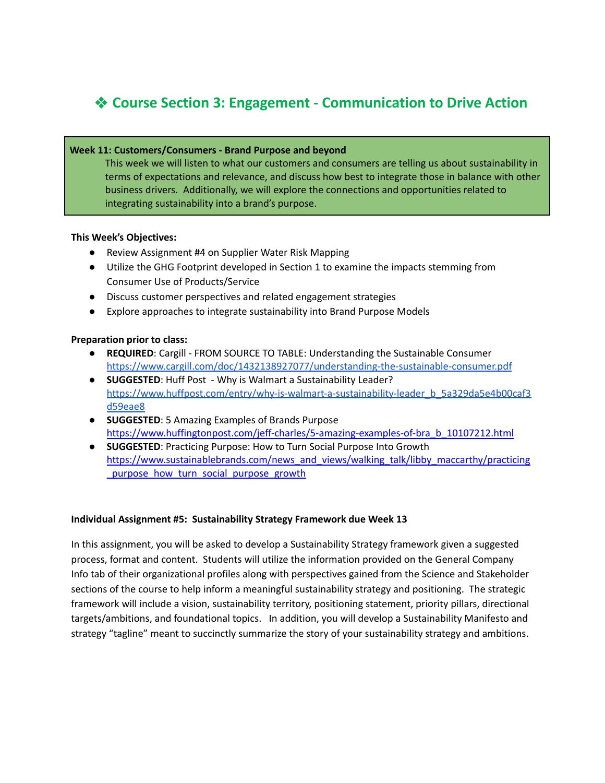# ❖ **Course Section 3: Engagement - Communication to Drive Action**

## **Week 11: Customers/Consumers - Brand Purpose and beyond**

This week we will listen to what our customers and consumers are telling us about sustainability in terms of expectations and relevance, and discuss how best to integrate those in balance with other business drivers. Additionally, we will explore the connections and opportunities related to integrating sustainability into a brand's purpose.

## **This Week's Objectives:**

- Review Assignment #4 on Supplier Water Risk Mapping
- Utilize the GHG Footprint developed in Section 1 to examine the impacts stemming from Consumer Use of Products/Service
- Discuss customer perspectives and related engagement strategies
- Explore approaches to integrate sustainability into Brand Purpose Models

## **Preparation prior to class:**

- **● REQUIRED**: Cargill FROM SOURCE TO TABLE: Understanding the Sustainable Consumer <https://www.cargill.com/doc/1432138927077/understanding-the-sustainable-consumer.pdf>
- **● SUGGESTED**: Huff Post Why is Walmart a Sustainability Leader? [https://www.huffpost.com/entry/why-is-walmart-a-sustainability-leader\\_b\\_5a329da5e4b00caf3](https://www.huffpost.com/entry/why-is-walmart-a-sustainability-leader_b_5a329da5e4b00caf3d59eae8) [d59eae8](https://www.huffpost.com/entry/why-is-walmart-a-sustainability-leader_b_5a329da5e4b00caf3d59eae8)
- **● SUGGESTED**: 5 Amazing Examples of Brands Purpose [https://www.huffingtonpost.com/jeff-charles/5-amazing-examples-of-bra\\_b\\_10107212.html](https://www.huffingtonpost.com/jeff-charles/5-amazing-examples-of-bra_b_10107212.html)
- **● SUGGESTED**: Practicing Purpose: How to Turn Social Purpose Into Growth [https://www.sustainablebrands.com/news\\_and\\_views/walking\\_talk/libby\\_maccarthy/practicing](https://www.sustainablebrands.com/news_and_views/walking_talk/libby_maccarthy/practicing_purpose_how_turn_social_purpose_growth) purpose how turn social purpose growth

## **Individual Assignment #5: Sustainability Strategy Framework due Week 13**

In this assignment, you will be asked to develop a Sustainability Strategy framework given a suggested process, format and content. Students will utilize the information provided on the General Company Info tab of their organizational profiles along with perspectives gained from the Science and Stakeholder sections of the course to help inform a meaningful sustainability strategy and positioning. The strategic framework will include a vision, sustainability territory, positioning statement, priority pillars, directional targets/ambitions, and foundational topics. In addition, you will develop a Sustainability Manifesto and strategy "tagline" meant to succinctly summarize the story of your sustainability strategy and ambitions.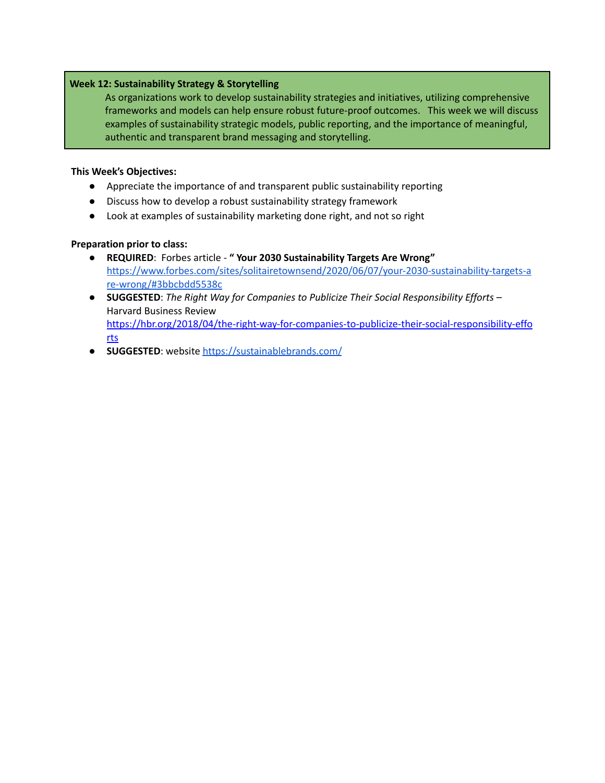## **Week 12: Sustainability Strategy & Storytelling**

As organizations work to develop sustainability strategies and initiatives, utilizing comprehensive frameworks and models can help ensure robust future-proof outcomes. This week we will discuss examples of sustainability strategic models, public reporting, and the importance of meaningful, authentic and transparent brand messaging and storytelling.

## **This Week's Objectives:**

- Appreciate the importance of and transparent public sustainability reporting
- Discuss how to develop a robust sustainability strategy framework
- Look at examples of sustainability marketing done right, and not so right

## **Preparation prior to class:**

- **REQUIRED**: Forbes article **" Your 2030 Sustainability Targets Are Wrong"** [https://www.forbes.com/sites/solitairetownsend/2020/06/07/your-2030-sustainability-targets-a](https://www.forbes.com/sites/solitairetownsend/2020/06/07/your-2030-sustainability-targets-are-wrong/#3bbcbdd5538c) [re-wrong/#3bbcbdd5538c](https://www.forbes.com/sites/solitairetownsend/2020/06/07/your-2030-sustainability-targets-are-wrong/#3bbcbdd5538c)
- **SUGGESTED**: *The Right Way for Companies to Publicize Their Social Responsibility Efforts* Harvard Business Review [https://hbr.org/2018/04/the-right-way-for-companies-to-publicize-their-social-responsibility-effo](https://hbr.org/2018/04/the-right-way-for-companies-to-publicize-their-social-responsibility-efforts) [rts](https://hbr.org/2018/04/the-right-way-for-companies-to-publicize-their-social-responsibility-efforts)
- **SUGGESTED**: website <https://sustainablebrands.com/>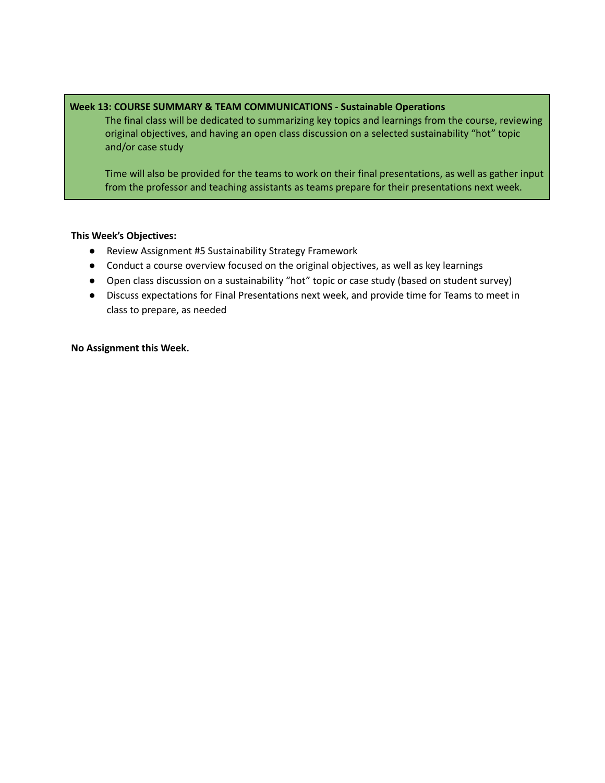## **Week 13: COURSE SUMMARY & TEAM COMMUNICATIONS - Sustainable Operations**

The final class will be dedicated to summarizing key topics and learnings from the course, reviewing original objectives, and having an open class discussion on a selected sustainability "hot" topic and/or case study

Time will also be provided for the teams to work on their final presentations, as well as gather input from the professor and teaching assistants as teams prepare for their presentations next week.

## **This Week's Objectives:**

- Review Assignment #5 Sustainability Strategy Framework
- Conduct a course overview focused on the original objectives, as well as key learnings
- Open class discussion on a sustainability "hot" topic or case study (based on student survey)
- Discuss expectations for Final Presentations next week, and provide time for Teams to meet in class to prepare, as needed